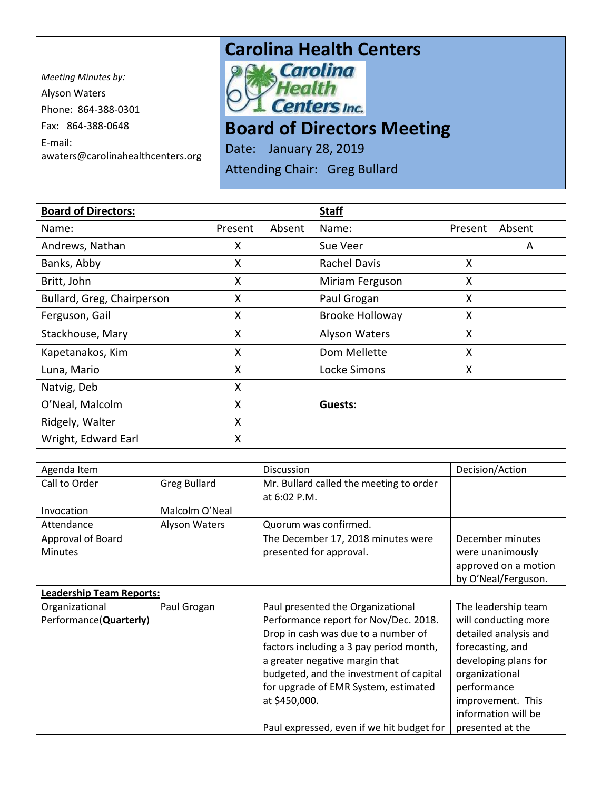*Meeting Minutes by:*  Alyson Waters Phone: 864-388-0301 Fax: 864-388-0648 E-mail: awaters@carolinahealthcenters.org

## **Carolina Health Centers**<br>**Political Carolina**



## **Board of Directors Meeting**

Date: January 28, 2019

Attending Chair: Greg Bullard

| <b>Board of Directors:</b> |         |        | <b>Staff</b>           |         |        |
|----------------------------|---------|--------|------------------------|---------|--------|
| Name:                      | Present | Absent | Name:                  | Present | Absent |
| Andrews, Nathan            | X       |        | Sue Veer               |         | A      |
| Banks, Abby                | X       |        | <b>Rachel Davis</b>    | X       |        |
| Britt, John                | Χ       |        | Miriam Ferguson        | X.      |        |
| Bullard, Greg, Chairperson | Χ       |        | Paul Grogan            | X       |        |
| Ferguson, Gail             | X       |        | <b>Brooke Holloway</b> | X       |        |
| Stackhouse, Mary           | X       |        | Alyson Waters          | X       |        |
| Kapetanakos, Kim           | X       |        | Dom Mellette           | X       |        |
| Luna, Mario                | X       |        | Locke Simons           | X       |        |
| Natvig, Deb                | X       |        |                        |         |        |
| O'Neal, Malcolm            | X       |        | Guests:                |         |        |
| Ridgely, Walter            | X       |        |                        |         |        |
| Wright, Edward Earl        | X       |        |                        |         |        |

| Agenda Item                     |                      | Discussion                                | Decision/Action       |
|---------------------------------|----------------------|-------------------------------------------|-----------------------|
| Call to Order                   | <b>Greg Bullard</b>  | Mr. Bullard called the meeting to order   |                       |
|                                 |                      | at 6:02 P.M.                              |                       |
| Invocation                      | Malcolm O'Neal       |                                           |                       |
| Attendance                      | <b>Alyson Waters</b> | Quorum was confirmed.                     |                       |
| Approval of Board               |                      | The December 17, 2018 minutes were        | December minutes      |
| <b>Minutes</b>                  |                      | presented for approval.                   | were unanimously      |
|                                 |                      |                                           | approved on a motion  |
|                                 |                      |                                           | by O'Neal/Ferguson.   |
| <b>Leadership Team Reports:</b> |                      |                                           |                       |
| Organizational                  | Paul Grogan          | Paul presented the Organizational         | The leadership team   |
| Performance(Quarterly)          |                      | Performance report for Nov/Dec. 2018.     | will conducting more  |
|                                 |                      | Drop in cash was due to a number of       | detailed analysis and |
|                                 |                      | factors including a 3 pay period month,   | forecasting, and      |
|                                 |                      | a greater negative margin that            | developing plans for  |
|                                 |                      | budgeted, and the investment of capital   | organizational        |
|                                 |                      | for upgrade of EMR System, estimated      | performance           |
|                                 |                      | at \$450,000.                             | improvement. This     |
|                                 |                      |                                           | information will be   |
|                                 |                      | Paul expressed, even if we hit budget for | presented at the      |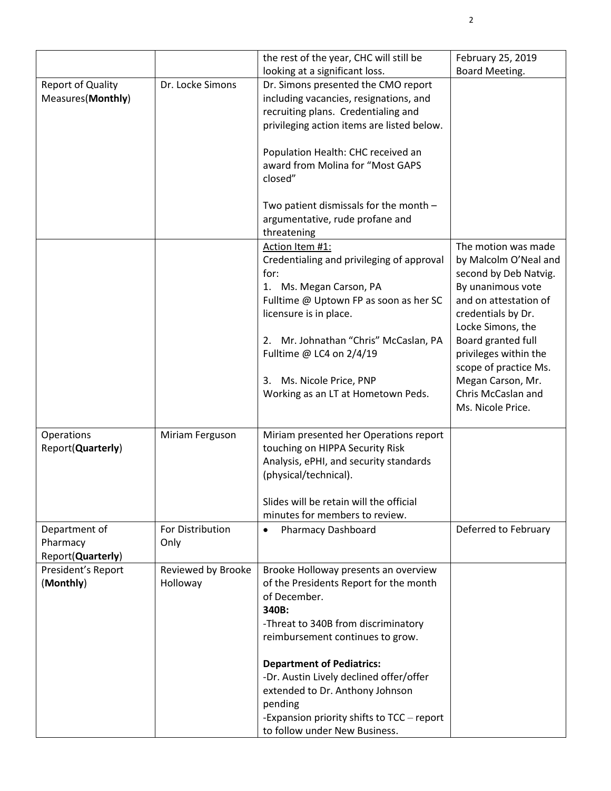|                                                |                                | the rest of the year, CHC will still be                                                                                                                                                                                                                                                                                                                                                        | February 25, 2019                                                                                                                                              |
|------------------------------------------------|--------------------------------|------------------------------------------------------------------------------------------------------------------------------------------------------------------------------------------------------------------------------------------------------------------------------------------------------------------------------------------------------------------------------------------------|----------------------------------------------------------------------------------------------------------------------------------------------------------------|
|                                                |                                | looking at a significant loss.                                                                                                                                                                                                                                                                                                                                                                 | Board Meeting.                                                                                                                                                 |
| <b>Report of Quality</b><br>Measures(Monthly)  | Dr. Locke Simons               | Dr. Simons presented the CMO report<br>including vacancies, resignations, and<br>recruiting plans. Credentialing and<br>privileging action items are listed below.                                                                                                                                                                                                                             |                                                                                                                                                                |
|                                                |                                | Population Health: CHC received an<br>award from Molina for "Most GAPS<br>closed"                                                                                                                                                                                                                                                                                                              |                                                                                                                                                                |
|                                                |                                | Two patient dismissals for the month -<br>argumentative, rude profane and<br>threatening                                                                                                                                                                                                                                                                                                       |                                                                                                                                                                |
|                                                |                                | Action Item #1:<br>Credentialing and privileging of approval<br>for:<br>1. Ms. Megan Carson, PA<br>Fulltime @ Uptown FP as soon as her SC<br>licensure is in place.                                                                                                                                                                                                                            | The motion was made<br>by Malcolm O'Neal and<br>second by Deb Natvig.<br>By unanimous vote<br>and on attestation of<br>credentials by Dr.<br>Locke Simons, the |
|                                                |                                | 2. Mr. Johnathan "Chris" McCaslan, PA<br>Fulltime @ LC4 on 2/4/19<br>Ms. Nicole Price, PNP<br>3.<br>Working as an LT at Hometown Peds.                                                                                                                                                                                                                                                         | Board granted full<br>privileges within the<br>scope of practice Ms.<br>Megan Carson, Mr.<br>Chris McCaslan and<br>Ms. Nicole Price.                           |
| Operations<br>Report(Quarterly)                | Miriam Ferguson                | Miriam presented her Operations report<br>touching on HIPPA Security Risk<br>Analysis, ePHI, and security standards<br>(physical/technical).<br>Slides will be retain will the official                                                                                                                                                                                                        |                                                                                                                                                                |
| Department of<br>Pharmacy<br>Report(Quarterly) | For Distribution<br>Only       | minutes for members to review.<br><b>Pharmacy Dashboard</b><br>$\bullet$                                                                                                                                                                                                                                                                                                                       | Deferred to February                                                                                                                                           |
| President's Report<br>(Monthly)                | Reviewed by Brooke<br>Holloway | Brooke Holloway presents an overview<br>of the Presidents Report for the month<br>of December.<br>340B:<br>-Threat to 340B from discriminatory<br>reimbursement continues to grow.<br><b>Department of Pediatrics:</b><br>-Dr. Austin Lively declined offer/offer<br>extended to Dr. Anthony Johnson<br>pending<br>-Expansion priority shifts to TCC - report<br>to follow under New Business. |                                                                                                                                                                |